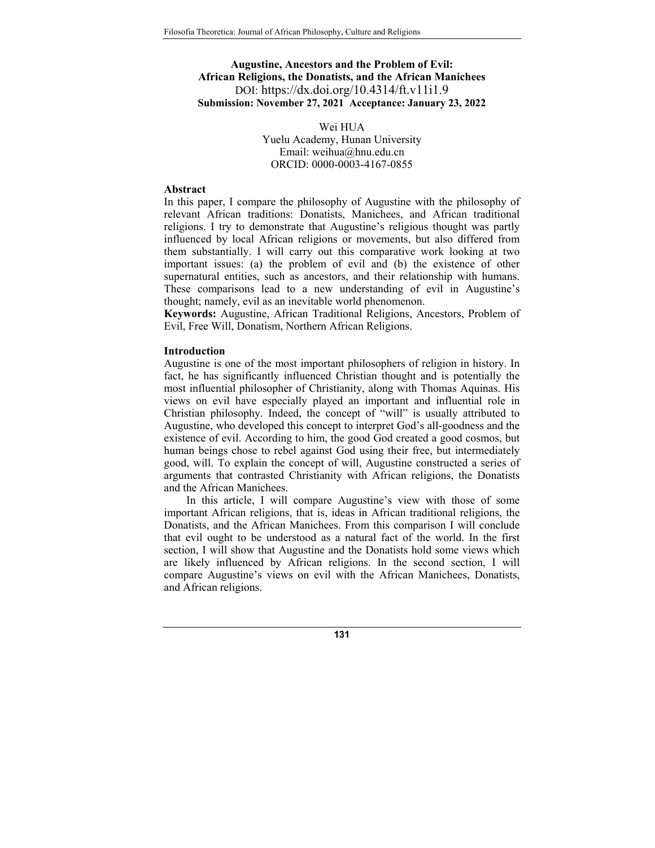**Augustine, Ancestors and the Problem of Evil: African Religions, the Donatists, and the African Manichees**  DOI: https://dx.doi.org/10.4314/ft.v11i1.9 **Submission: November 27, 2021 Acceptance: January 23, 2022** 

> Wei HUA Yuelu Academy, Hunan University Email: weihua@hnu.edu.cn ORCID: 0000-0003-4167-0855

### **Abstract**

In this paper, I compare the philosophy of Augustine with the philosophy of relevant African traditions: Donatists, Manichees, and African traditional religions. I try to demonstrate that Augustine's religious thought was partly influenced by local African religions or movements, but also differed from them substantially. I will carry out this comparative work looking at two important issues: (a) the problem of evil and (b) the existence of other supernatural entities, such as ancestors, and their relationship with humans. These comparisons lead to a new understanding of evil in Augustine's thought; namely, evil as an inevitable world phenomenon.

**Keywords:** Augustine, African Traditional Religions, Ancestors, Problem of Evil, Free Will, Donatism, Northern African Religions.

# **Introduction**

Augustine is one of the most important philosophers of religion in history. In fact, he has significantly influenced Christian thought and is potentially the most influential philosopher of Christianity, along with Thomas Aquinas. His views on evil have especially played an important and influential role in Christian philosophy. Indeed, the concept of "will" is usually attributed to Augustine, who developed this concept to interpret God's all-goodness and the existence of evil. According to him, the good God created a good cosmos, but human beings chose to rebel against God using their free, but intermediately good, will. To explain the concept of will, Augustine constructed a series of arguments that contrasted Christianity with African religions, the Donatists and the African Manichees.

In this article, I will compare Augustine's view with those of some important African religions, that is, ideas in African traditional religions, the Donatists, and the African Manichees. From this comparison I will conclude that evil ought to be understood as a natural fact of the world. In the first section, I will show that Augustine and the Donatists hold some views which are likely influenced by African religions. In the second section, I will compare Augustine's views on evil with the African Manichees, Donatists, and African religions.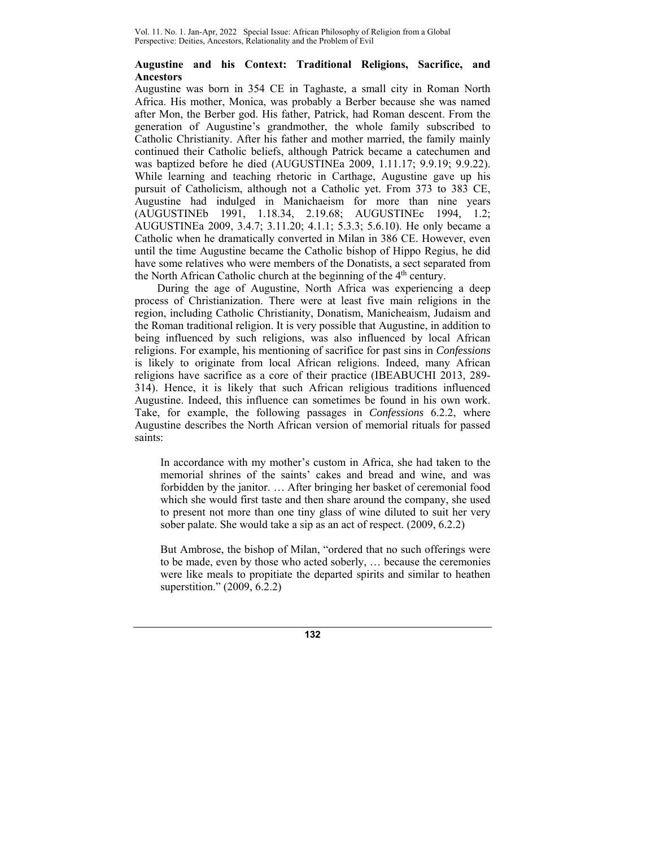# **Augustine and his Context: Traditional Religions, Sacrifice, and Ancestors**

Augustine was born in 354 CE in Taghaste, a small city in Roman North Africa. His mother, Monica, was probably a Berber because she was named after Mon, the Berber god. His father, Patrick, had Roman descent. From the generation of Augustine's grandmother, the whole family subscribed to Catholic Christianity. After his father and mother married, the family mainly continued their Catholic beliefs, although Patrick became a catechumen and was baptized before he died (AUGUSTINEa 2009, 1.11.17; 9.9.19; 9.9.22). While learning and teaching rhetoric in Carthage, Augustine gave up his pursuit of Catholicism, although not a Catholic yet. From 373 to 383 CE, Augustine had indulged in Manichaeism for more than nine years (AUGUSTINEb 1991, 1.18.34, 2.19.68; AUGUSTINEc 1994, 1.2; AUGUSTINEa 2009, 3.4.7; 3.11.20; 4.1.1; 5.3.3; 5.6.10). He only became a Catholic when he dramatically converted in Milan in 386 CE. However, even until the time Augustine became the Catholic bishop of Hippo Regius, he did have some relatives who were members of the Donatists, a sect separated from the North African Catholic church at the beginning of the 4<sup>th</sup> century.

During the age of Augustine, North Africa was experiencing a deep process of Christianization. There were at least five main religions in the region, including Catholic Christianity, Donatism, Manicheaism, Judaism and the Roman traditional religion. It is very possible that Augustine, in addition to being influenced by such religions, was also influenced by local African religions. For example, his mentioning of sacrifice for past sins in *Confessions* is likely to originate from local African religions. Indeed, many African religions have sacrifice as a core of their practice (IBEABUCHI 2013, 289- 314). Hence, it is likely that such African religious traditions influenced Augustine. Indeed, this influence can sometimes be found in his own work. Take, for example, the following passages in *Confessions* 6.2.2, where Augustine describes the North African version of memorial rituals for passed saints:

In accordance with my mother's custom in Africa, she had taken to the memorial shrines of the saints' cakes and bread and wine, and was forbidden by the janitor. … After bringing her basket of ceremonial food which she would first taste and then share around the company, she used to present not more than one tiny glass of wine diluted to suit her very sober palate. She would take a sip as an act of respect. (2009, 6.2.2)

But Ambrose, the bishop of Milan, "ordered that no such offerings were to be made, even by those who acted soberly, … because the ceremonies were like meals to propitiate the departed spirits and similar to heathen superstition." (2009, 6.2.2)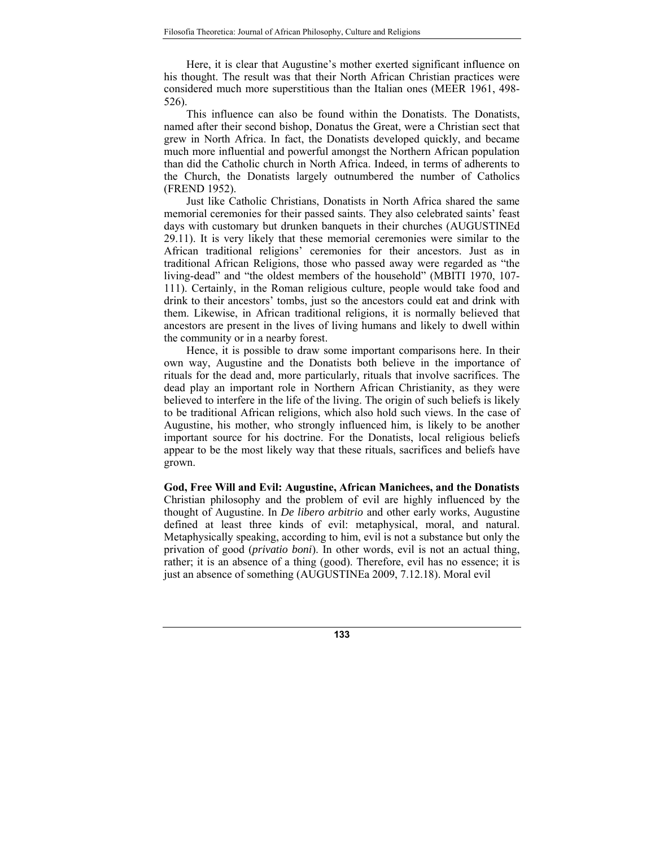Here, it is clear that Augustine's mother exerted significant influence on his thought. The result was that their North African Christian practices were considered much more superstitious than the Italian ones (MEER 1961, 498- 526).

This influence can also be found within the Donatists. The Donatists, named after their second bishop, Donatus the Great, were a Christian sect that grew in North Africa. In fact, the Donatists developed quickly, and became much more influential and powerful amongst the Northern African population than did the Catholic church in North Africa. Indeed, in terms of adherents to the Church, the Donatists largely outnumbered the number of Catholics (FREND 1952).

Just like Catholic Christians, Donatists in North Africa shared the same memorial ceremonies for their passed saints. They also celebrated saints' feast days with customary but drunken banquets in their churches (AUGUSTINEd 29.11). It is very likely that these memorial ceremonies were similar to the African traditional religions' ceremonies for their ancestors. Just as in traditional African Religions, those who passed away were regarded as "the living-dead" and "the oldest members of the household" (MBITI 1970, 107- 111). Certainly, in the Roman religious culture, people would take food and drink to their ancestors' tombs, just so the ancestors could eat and drink with them. Likewise, in African traditional religions, it is normally believed that ancestors are present in the lives of living humans and likely to dwell within the community or in a nearby forest.

Hence, it is possible to draw some important comparisons here. In their own way, Augustine and the Donatists both believe in the importance of rituals for the dead and, more particularly, rituals that involve sacrifices. The dead play an important role in Northern African Christianity, as they were believed to interfere in the life of the living. The origin of such beliefs is likely to be traditional African religions, which also hold such views. In the case of Augustine, his mother, who strongly influenced him, is likely to be another important source for his doctrine. For the Donatists, local religious beliefs appear to be the most likely way that these rituals, sacrifices and beliefs have grown.

**God, Free Will and Evil: Augustine, African Manichees, and the Donatists**  Christian philosophy and the problem of evil are highly influenced by the thought of Augustine. In *De libero arbitrio* and other early works, Augustine defined at least three kinds of evil: metaphysical, moral, and natural. Metaphysically speaking, according to him, evil is not a substance but only the privation of good (*privatio boni*). In other words, evil is not an actual thing, rather; it is an absence of a thing (good). Therefore, evil has no essence; it is just an absence of something (AUGUSTINEa 2009, 7.12.18). Moral evil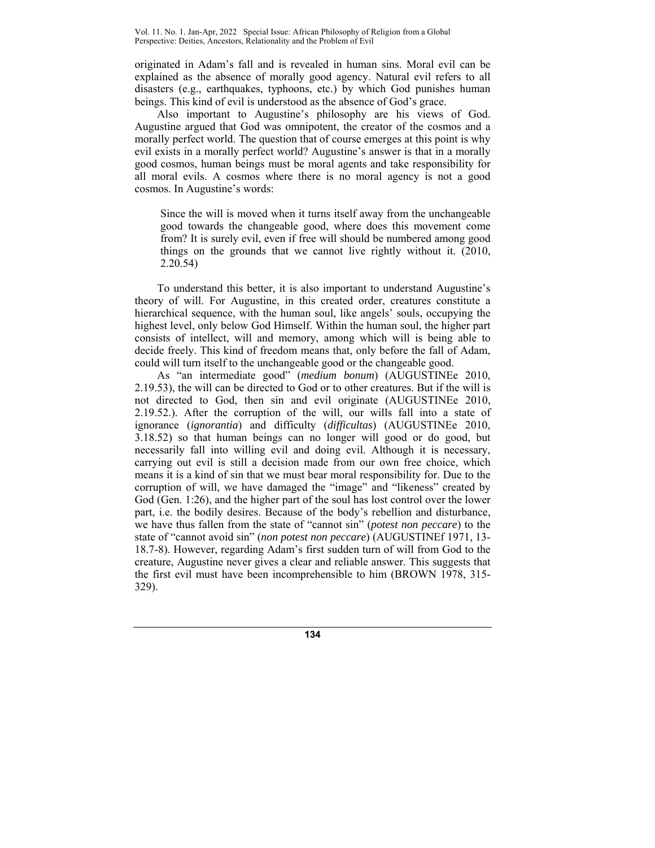originated in Adam's fall and is revealed in human sins. Moral evil can be explained as the absence of morally good agency. Natural evil refers to all disasters (e.g., earthquakes, typhoons, etc.) by which God punishes human beings. This kind of evil is understood as the absence of God's grace.

Also important to Augustine's philosophy are his views of God. Augustine argued that God was omnipotent, the creator of the cosmos and a morally perfect world. The question that of course emerges at this point is why evil exists in a morally perfect world? Augustine's answer is that in a morally good cosmos, human beings must be moral agents and take responsibility for all moral evils. A cosmos where there is no moral agency is not a good cosmos. In Augustine's words:

Since the will is moved when it turns itself away from the unchangeable good towards the changeable good, where does this movement come from? It is surely evil, even if free will should be numbered among good things on the grounds that we cannot live rightly without it. (2010, 2.20.54)

To understand this better, it is also important to understand Augustine's theory of will. For Augustine, in this created order, creatures constitute a hierarchical sequence, with the human soul, like angels' souls, occupying the highest level, only below God Himself. Within the human soul, the higher part consists of intellect, will and memory, among which will is being able to decide freely. This kind of freedom means that, only before the fall of Adam, could will turn itself to the unchangeable good or the changeable good.

As "an intermediate good" (*medium bonum*) (AUGUSTINEe 2010, 2.19.53), the will can be directed to God or to other creatures. But if the will is not directed to God, then sin and evil originate (AUGUSTINEe 2010, 2.19.52.). After the corruption of the will, our wills fall into a state of ignorance (*ignorantia*) and difficulty (*difficultas*) (AUGUSTINEe 2010, 3.18.52) so that human beings can no longer will good or do good, but necessarily fall into willing evil and doing evil. Although it is necessary, carrying out evil is still a decision made from our own free choice, which means it is a kind of sin that we must bear moral responsibility for. Due to the corruption of will, we have damaged the "image" and "likeness" created by God (Gen. 1:26), and the higher part of the soul has lost control over the lower part, i.e. the bodily desires. Because of the body's rebellion and disturbance, we have thus fallen from the state of "cannot sin" (*potest non peccare*) to the state of "cannot avoid sin" (*non potest non peccare*) (AUGUSTINEf 1971, 13- 18.7-8). However, regarding Adam's first sudden turn of will from God to the creature, Augustine never gives a clear and reliable answer. This suggests that the first evil must have been incomprehensible to him (BROWN 1978, 315- 329).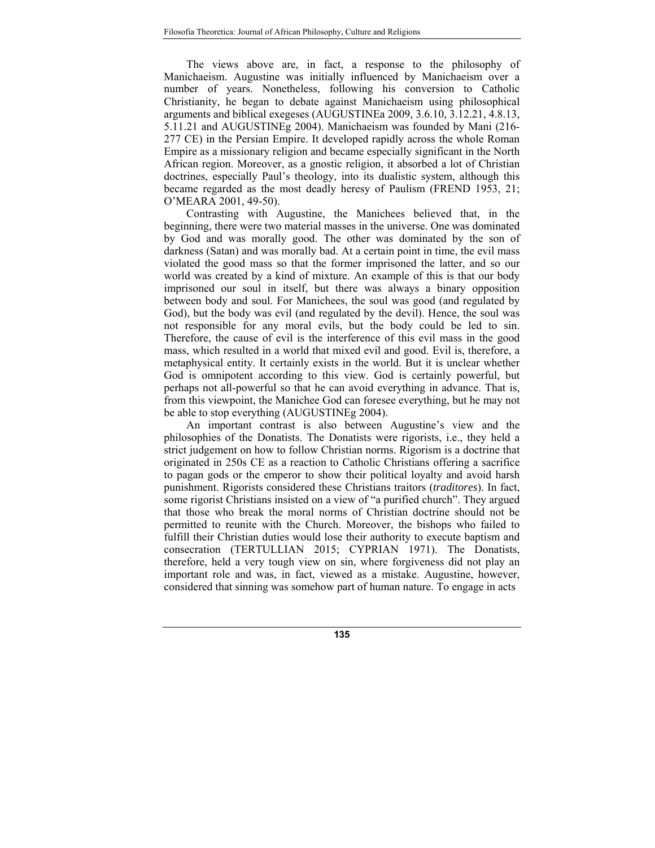The views above are, in fact, a response to the philosophy of Manichaeism. Augustine was initially influenced by Manichaeism over a number of years. Nonetheless, following his conversion to Catholic Christianity, he began to debate against Manichaeism using philosophical arguments and biblical exegeses (AUGUSTINEa 2009, 3.6.10, 3.12.21, 4.8.13, 5.11.21 and AUGUSTINEg 2004). Manichaeism was founded by Mani (216- 277 CE) in the Persian Empire. It developed rapidly across the whole Roman Empire as a missionary religion and became especially significant in the North African region. Moreover, as a gnostic religion, it absorbed a lot of Christian doctrines, especially Paul's theology, into its dualistic system, although this became regarded as the most deadly heresy of Paulism (FREND 1953, 21; O'MEARA 2001, 49-50).

Contrasting with Augustine, the Manichees believed that, in the beginning, there were two material masses in the universe. One was dominated by God and was morally good. The other was dominated by the son of darkness (Satan) and was morally bad. At a certain point in time, the evil mass violated the good mass so that the former imprisoned the latter, and so our world was created by a kind of mixture. An example of this is that our body imprisoned our soul in itself, but there was always a binary opposition between body and soul. For Manichees, the soul was good (and regulated by God), but the body was evil (and regulated by the devil). Hence, the soul was not responsible for any moral evils, but the body could be led to sin. Therefore, the cause of evil is the interference of this evil mass in the good mass, which resulted in a world that mixed evil and good. Evil is, therefore, a metaphysical entity. It certainly exists in the world. But it is unclear whether God is omnipotent according to this view. God is certainly powerful, but perhaps not all-powerful so that he can avoid everything in advance. That is, from this viewpoint, the Manichee God can foresee everything, but he may not be able to stop everything (AUGUSTINEg 2004).

An important contrast is also between Augustine's view and the philosophies of the Donatists. The Donatists were rigorists, i.e., they held a strict judgement on how to follow Christian norms. Rigorism is a doctrine that originated in 250s CE as a reaction to Catholic Christians offering a sacrifice to pagan gods or the emperor to show their political loyalty and avoid harsh punishment. Rigorists considered these Christians traitors (*traditores*). In fact, some rigorist Christians insisted on a view of "a purified church". They argued that those who break the moral norms of Christian doctrine should not be permitted to reunite with the Church. Moreover, the bishops who failed to fulfill their Christian duties would lose their authority to execute baptism and consecration (TERTULLIAN 2015; CYPRIAN 1971). The Donatists, therefore, held a very tough view on sin, where forgiveness did not play an important role and was, in fact, viewed as a mistake. Augustine, however, considered that sinning was somehow part of human nature. To engage in acts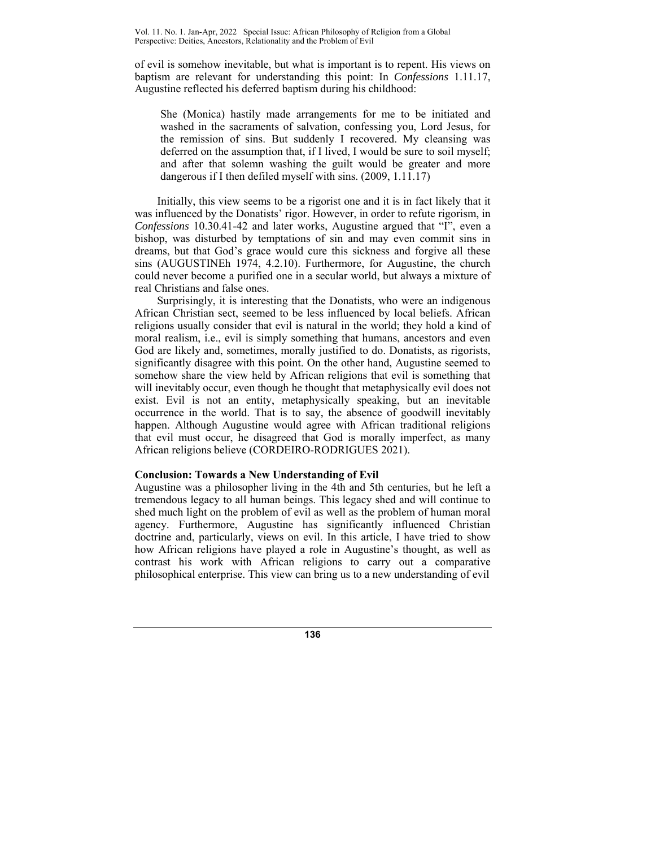of evil is somehow inevitable, but what is important is to repent. His views on baptism are relevant for understanding this point: In *Confessions* 1.11.17, Augustine reflected his deferred baptism during his childhood:

She (Monica) hastily made arrangements for me to be initiated and washed in the sacraments of salvation, confessing you, Lord Jesus, for the remission of sins. But suddenly I recovered. My cleansing was deferred on the assumption that, if I lived, I would be sure to soil myself; and after that solemn washing the guilt would be greater and more dangerous if I then defiled myself with sins. (2009, 1.11.17)

Initially, this view seems to be a rigorist one and it is in fact likely that it was influenced by the Donatists' rigor. However, in order to refute rigorism, in *Confessions* 10.30.41-42 and later works, Augustine argued that "I", even a bishop, was disturbed by temptations of sin and may even commit sins in dreams, but that God's grace would cure this sickness and forgive all these sins (AUGUSTINEh 1974, 4.2.10). Furthermore, for Augustine, the church could never become a purified one in a secular world, but always a mixture of real Christians and false ones.

Surprisingly, it is interesting that the Donatists, who were an indigenous African Christian sect, seemed to be less influenced by local beliefs. African religions usually consider that evil is natural in the world; they hold a kind of moral realism, i.e., evil is simply something that humans, ancestors and even God are likely and, sometimes, morally justified to do. Donatists, as rigorists, significantly disagree with this point. On the other hand, Augustine seemed to somehow share the view held by African religions that evil is something that will inevitably occur, even though he thought that metaphysically evil does not exist. Evil is not an entity, metaphysically speaking, but an inevitable occurrence in the world. That is to say, the absence of goodwill inevitably happen. Although Augustine would agree with African traditional religions that evil must occur, he disagreed that God is morally imperfect, as many African religions believe (CORDEIRO-RODRIGUES 2021).

# **Conclusion: Towards a New Understanding of Evil**

Augustine was a philosopher living in the 4th and 5th centuries, but he left a tremendous legacy to all human beings. This legacy shed and will continue to shed much light on the problem of evil as well as the problem of human moral agency. Furthermore, Augustine has significantly influenced Christian doctrine and, particularly, views on evil. In this article, I have tried to show how African religions have played a role in Augustine's thought, as well as contrast his work with African religions to carry out a comparative philosophical enterprise. This view can bring us to a new understanding of evil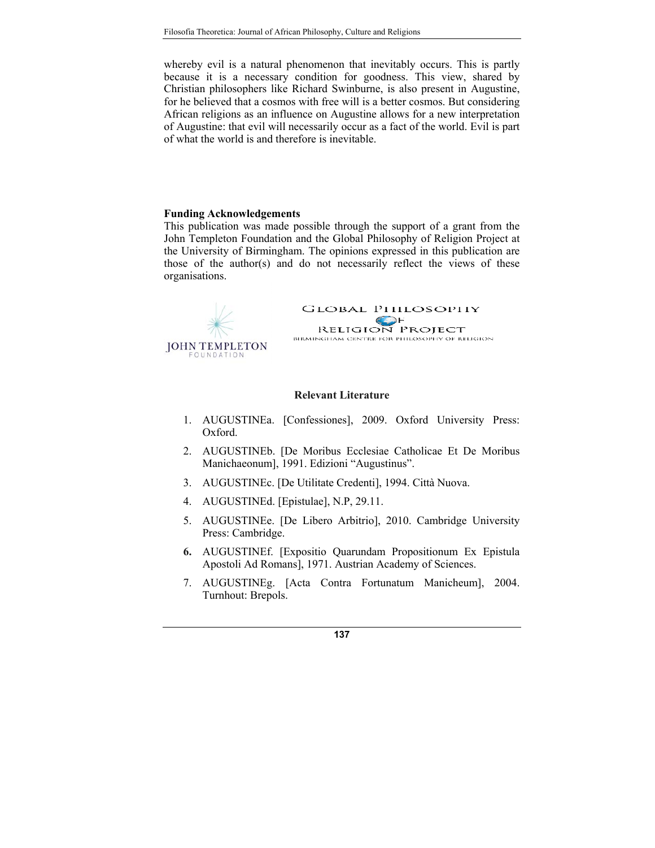whereby evil is a natural phenomenon that inevitably occurs. This is partly because it is a necessary condition for goodness. This view, shared by Christian philosophers like Richard Swinburne, is also present in Augustine, for he believed that a cosmos with free will is a better cosmos. But considering African religions as an influence on Augustine allows for a new interpretation of Augustine: that evil will necessarily occur as a fact of the world. Evil is part of what the world is and therefore is inevitable.

#### **Funding Acknowledgements**

This publication was made possible through the support of a grant from the John Templeton Foundation and the Global Philosophy of Religion Project at the University of Birmingham. The opinions expressed in this publication are those of the author(s) and do not necessarily reflect the views of these organisations.



#### **Relevant Literature**

- 1. AUGUSTINEa. [Confessiones], 2009. Oxford University Press: Oxford.
- 2. AUGUSTINEb. [De Moribus Ecclesiae Catholicae Et De Moribus Manichaeonum], 1991. Edizioni "Augustinus".
- 3. AUGUSTINEc. [De Utilitate Credenti], 1994. Città Nuova.
- 4. AUGUSTINEd. [Epistulae], N.P, 29.11.
- 5. AUGUSTINEe. [De Libero Arbitrio], 2010. Cambridge University Press: Cambridge.
- **6.** AUGUSTINEf. [Expositio Quarundam Propositionum Ex Epistula Apostoli Ad Romans], 1971. Austrian Academy of Sciences.
- 7. AUGUSTINEg. [Acta Contra Fortunatum Manicheum], 2004. Turnhout: Brepols.